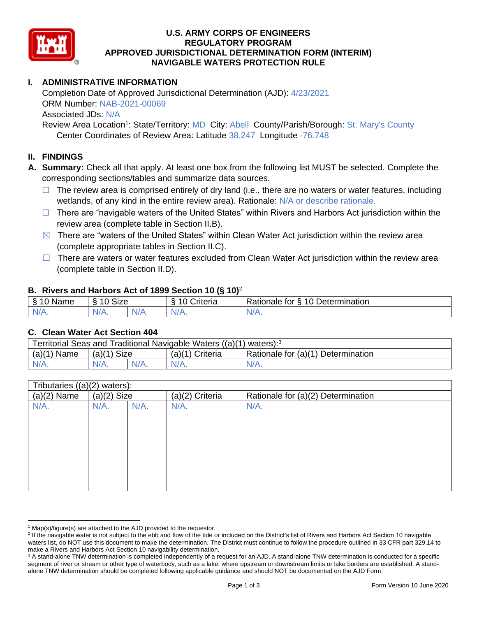

# **U.S. ARMY CORPS OF ENGINEERS REGULATORY PROGRAM APPROVED JURISDICTIONAL DETERMINATION FORM (INTERIM) NAVIGABLE WATERS PROTECTION RULE**

# **I. ADMINISTRATIVE INFORMATION**

Completion Date of Approved Jurisdictional Determination (AJD): 4/23/2021 ORM Number: NAB-2021-00069 Associated JDs: N/A

Review Area Location<sup>1</sup>: State/Territory: MD City: Abell County/Parish/Borough: St. Mary's County Center Coordinates of Review Area: Latitude 38.247 Longitude -76.748

### **II. FINDINGS**

**A. Summary:** Check all that apply. At least one box from the following list MUST be selected. Complete the corresponding sections/tables and summarize data sources.

- $\Box$  The review area is comprised entirely of dry land (i.e., there are no waters or water features, including wetlands, of any kind in the entire review area). Rationale: N/A or describe rationale.
- $\Box$  There are "navigable waters of the United States" within Rivers and Harbors Act jurisdiction within the review area (complete table in Section II.B).
- $\boxtimes$  There are "waters of the United States" within Clean Water Act jurisdiction within the review area (complete appropriate tables in Section II.C).
- $\Box$  There are waters or water features excluded from Clean Water Act jurisdiction within the review area (complete table in Section II.D).

#### **B. Rivers and Harbors Act of 1899 Section 10 (§ 10)**<sup>2</sup>

| <sub>S</sub><br>$\sim$<br>Name<br>u | <b>Size</b><br>$\sim$<br>. .<br>c |     | $\sim$<br>$\overline{\phantom{a}}$<br>`riteria | 10<br>Determination<br>-<br>∢ationale<br>tor |
|-------------------------------------|-----------------------------------|-----|------------------------------------------------|----------------------------------------------|
| $N/A$ .                             | $N/A$ .                           | N/F | N/A.                                           | N/A.                                         |

#### **C. Clean Water Act Section 404**

| waters): <sup>3</sup><br>Territorial Seas and Traditional Navigable Waters ((a)(1) |                |  |                    |                                    |  |
|------------------------------------------------------------------------------------|----------------|--|--------------------|------------------------------------|--|
| $(a)$ $(1)$<br>Name                                                                | Size<br>(a)(1` |  | (a)(1)<br>Criteria | Rationale for (a)(1) Determination |  |
|                                                                                    | $N/A$ .        |  | $N/A$ .            | N/A.                               |  |

| Tributaries ((a)(2) waters): |               |         |                 |                                    |
|------------------------------|---------------|---------|-----------------|------------------------------------|
| $(a)(2)$ Name                | $(a)(2)$ Size |         | (a)(2) Criteria | Rationale for (a)(2) Determination |
| N/A.                         | $N/A$ .       | $N/A$ . | $N/A$ .         | $N/A$ .                            |
|                              |               |         |                 |                                    |
|                              |               |         |                 |                                    |
|                              |               |         |                 |                                    |
|                              |               |         |                 |                                    |
|                              |               |         |                 |                                    |
|                              |               |         |                 |                                    |
|                              |               |         |                 |                                    |
|                              |               |         |                 |                                    |
|                              |               |         |                 |                                    |

 $1$  Map(s)/figure(s) are attached to the AJD provided to the requestor.

<sup>&</sup>lt;sup>2</sup> If the navigable water is not subject to the ebb and flow of the tide or included on the District's list of Rivers and Harbors Act Section 10 navigable waters list, do NOT use this document to make the determination. The District must continue to follow the procedure outlined in 33 CFR part 329.14 to make a Rivers and Harbors Act Section 10 navigability determination.

<sup>&</sup>lt;sup>3</sup> A stand-alone TNW determination is completed independently of a request for an AJD. A stand-alone TNW determination is conducted for a specific segment of river or stream or other type of waterbody, such as a lake, where upstream or downstream limits or lake borders are established. A standalone TNW determination should be completed following applicable guidance and should NOT be documented on the AJD Form.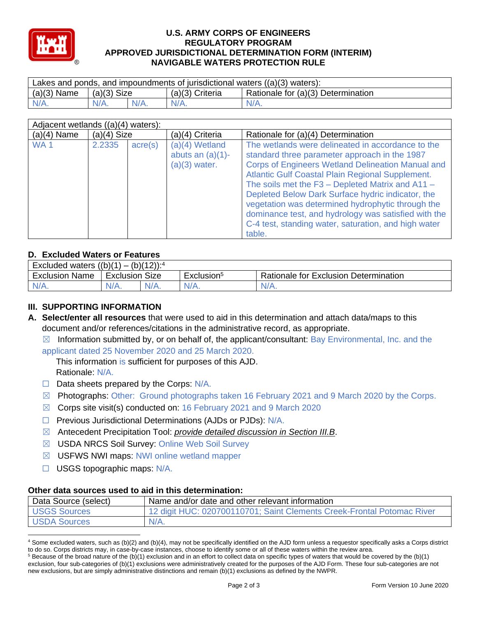

### **U.S. ARMY CORPS OF ENGINEERS REGULATORY PROGRAM APPROVED JURISDICTIONAL DETERMINATION FORM (INTERIM) NAVIGABLE WATERS PROTECTION RULE**

| Lakes and ponds, and impoundments of jurisdictional waters $((a)(3)$ waters): |               |         |                   |                                    |  |
|-------------------------------------------------------------------------------|---------------|---------|-------------------|------------------------------------|--|
| $(a)(3)$ Name                                                                 | $(a)(3)$ Size |         | $(a)(3)$ Criteria | Rationale for (a)(3) Determination |  |
| $N/A$ .                                                                       | $N/A$ .       | $N/A$ . | $N/A$ .           | $N/A$ .                            |  |

| Adjacent wetlands ((a)(4) waters): |               |                  |                                                            |                                                                                                                                                                                                                                                                                                                                                                                                                                                                                                                     |  |
|------------------------------------|---------------|------------------|------------------------------------------------------------|---------------------------------------------------------------------------------------------------------------------------------------------------------------------------------------------------------------------------------------------------------------------------------------------------------------------------------------------------------------------------------------------------------------------------------------------------------------------------------------------------------------------|--|
| $(a)(4)$ Name                      | $(a)(4)$ Size |                  | (a)(4) Criteria                                            | Rationale for (a)(4) Determination                                                                                                                                                                                                                                                                                                                                                                                                                                                                                  |  |
| WA <sub>1</sub>                    | 2.2335        | $\text{acre}(s)$ | $(a)(4)$ Wetland<br>abuts an $(a)(1)$ -<br>$(a)(3)$ water. | The wetlands were delineated in accordance to the<br>standard three parameter approach in the 1987<br><b>Corps of Engineers Wetland Delineation Manual and</b><br><b>Atlantic Gulf Coastal Plain Regional Supplement.</b><br>The soils met the $F3 - Depleted Matrix$ and A11 -<br>Depleted Below Dark Surface hydric indicator, the<br>vegetation was determined hydrophytic through the<br>dominance test, and hydrology was satisfied with the<br>C-4 test, standing water, saturation, and high water<br>table. |  |

# **D. Excluded Waters or Features**

| $(h)/4$ $2)$<br>-<br>(2)(1)<br>Excluded waters<br>-<br>ו ט<br>. |                   |         |                        |                                              |  |
|-----------------------------------------------------------------|-------------------|---------|------------------------|----------------------------------------------|--|
| Exclusion<br>Name                                               | Size<br>Exclusion |         | Exclusion <sup>3</sup> | I Rationale for Exclusion Γ<br>Determination |  |
| IV/A.                                                           | N/A.              | $N/A$ . | $N/A$ .                | 'V/A.                                        |  |

# **III. SUPPORTING INFORMATION**

- **A. Select/enter all resources** that were used to aid in this determination and attach data/maps to this document and/or references/citations in the administrative record, as appropriate.
	- $\boxtimes$  Information submitted by, or on behalf of, the applicant/consultant: Bay Environmental, Inc. and the

applicant dated 25 November 2020 and 25 March 2020.

This information is sufficient for purposes of this AJD. Rationale: N/A.

- $\Box$  Data sheets prepared by the Corps:  $N/A$ .
- $\boxtimes$  Photographs: Other: Ground photographs taken 16 February 2021 and 9 March 2020 by the Corps.
- $\boxtimes$  Corps site visit(s) conducted on: 16 February 2021 and 9 March 2020
- ☐ Previous Jurisdictional Determinations (AJDs or PJDs): N/A.
- ☒ Antecedent Precipitation Tool: *provide detailed discussion in Section III.B*.
- ☒ USDA NRCS Soil Survey: Online Web Soil Survey
- ☒ USFWS NWI maps: NWI online wetland mapper
- ☐ USGS topographic maps: N/A.

### **Other data sources used to aid in this determination:**

| Data Source (select) | Name and/or date and other relevant information                        |
|----------------------|------------------------------------------------------------------------|
| <b>USGS Sources</b>  | 12 digit HUC: 020700110701; Saint Clements Creek-Frontal Potomac River |
| <b>USDA Sources</b>  | $N/A$ .                                                                |

<sup>4</sup> Some excluded waters, such as (b)(2) and (b)(4), may not be specifically identified on the AJD form unless a requestor specifically asks a Corps district to do so. Corps districts may, in case-by-case instances, choose to identify some or all of these waters within the review area.

 $5$  Because of the broad nature of the (b)(1) exclusion and in an effort to collect data on specific types of waters that would be covered by the (b)(1) exclusion, four sub-categories of (b)(1) exclusions were administratively created for the purposes of the AJD Form. These four sub-categories are not new exclusions, but are simply administrative distinctions and remain (b)(1) exclusions as defined by the NWPR.